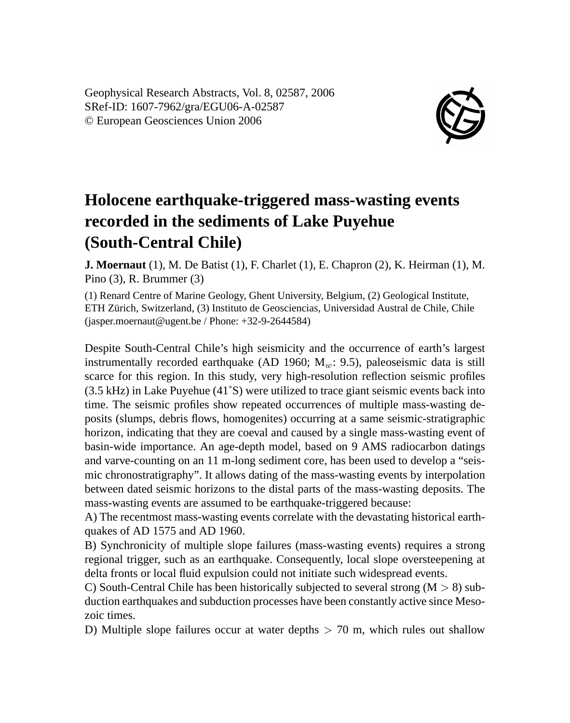Geophysical Research Abstracts, Vol. 8, 02587, 2006 SRef-ID: 1607-7962/gra/EGU06-A-02587 © European Geosciences Union 2006



## **Holocene earthquake-triggered mass-wasting events recorded in the sediments of Lake Puyehue (South-Central Chile)**

**J. Moernaut** (1), M. De Batist (1), F. Charlet (1), E. Chapron (2), K. Heirman (1), M. Pino (3), R. Brummer (3)

(1) Renard Centre of Marine Geology, Ghent University, Belgium, (2) Geological Institute, ETH Zürich, Switzerland, (3) Instituto de Geosciencias, Universidad Austral de Chile, Chile (jasper.moernaut@ugent.be / Phone: +32-9-2644584)

Despite South-Central Chile's high seismicity and the occurrence of earth's largest instrumentally recorded earthquake (AD 1960;  $M_w$ : 9.5), paleoseismic data is still scarce for this region. In this study, very high-resolution reflection seismic profiles (3.5 kHz) in Lake Puyehue (41˚S) were utilized to trace giant seismic events back into time. The seismic profiles show repeated occurrences of multiple mass-wasting deposits (slumps, debris flows, homogenites) occurring at a same seismic-stratigraphic horizon, indicating that they are coeval and caused by a single mass-wasting event of basin-wide importance. An age-depth model, based on 9 AMS radiocarbon datings and varve-counting on an 11 m-long sediment core, has been used to develop a "seismic chronostratigraphy". It allows dating of the mass-wasting events by interpolation between dated seismic horizons to the distal parts of the mass-wasting deposits. The mass-wasting events are assumed to be earthquake-triggered because:

A) The recentmost mass-wasting events correlate with the devastating historical earthquakes of AD 1575 and AD 1960.

B) Synchronicity of multiple slope failures (mass-wasting events) requires a strong regional trigger, such as an earthquake. Consequently, local slope oversteepening at delta fronts or local fluid expulsion could not initiate such widespread events.

C) South-Central Chile has been historically subjected to several strong  $(M > 8)$  subduction earthquakes and subduction processes have been constantly active since Mesozoic times.

D) Multiple slope failures occur at water depths  $> 70$  m, which rules out shallow